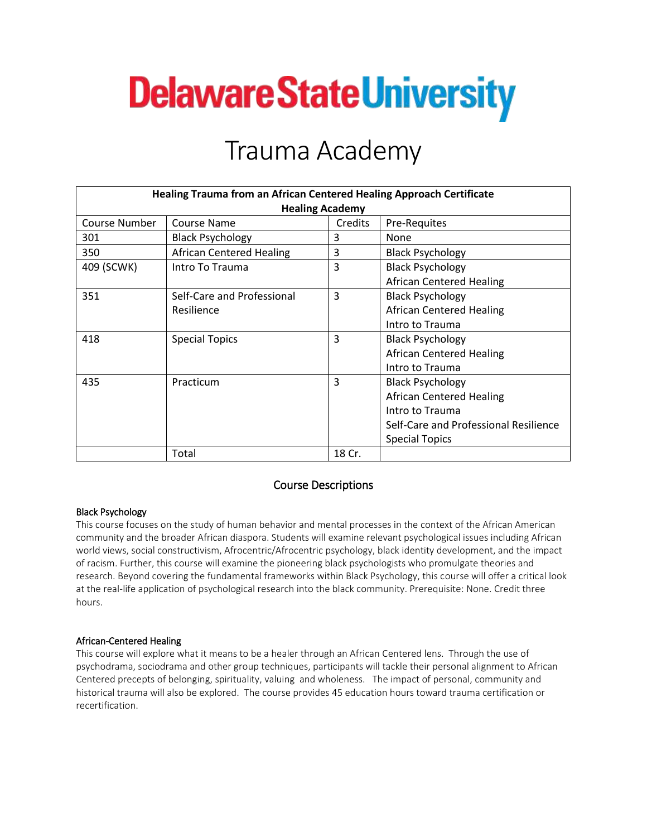# **Delaware State University**

## Trauma Academy

| <b>Healing Trauma from an African Centered Healing Approach Certificate</b> |                                 |         |                                       |
|-----------------------------------------------------------------------------|---------------------------------|---------|---------------------------------------|
| <b>Healing Academy</b>                                                      |                                 |         |                                       |
| Course Number                                                               | Course Name                     | Credits | <b>Pre-Requites</b>                   |
| 301                                                                         | <b>Black Psychology</b>         | 3       | None                                  |
| 350                                                                         | <b>African Centered Healing</b> | 3       | <b>Black Psychology</b>               |
| 409 (SCWK)                                                                  | Intro To Trauma                 | 3       | <b>Black Psychology</b>               |
|                                                                             |                                 |         | <b>African Centered Healing</b>       |
| 351                                                                         | Self-Care and Professional      | 3       | <b>Black Psychology</b>               |
|                                                                             | Resilience                      |         | <b>African Centered Healing</b>       |
|                                                                             |                                 |         | Intro to Trauma                       |
| 418                                                                         | <b>Special Topics</b>           | 3       | <b>Black Psychology</b>               |
|                                                                             |                                 |         | <b>African Centered Healing</b>       |
|                                                                             |                                 |         | Intro to Trauma                       |
| 435                                                                         | Practicum                       | 3       | <b>Black Psychology</b>               |
|                                                                             |                                 |         | <b>African Centered Healing</b>       |
|                                                                             |                                 |         | Intro to Trauma                       |
|                                                                             |                                 |         | Self-Care and Professional Resilience |
|                                                                             |                                 |         | <b>Special Topics</b>                 |
|                                                                             | Total                           | 18 Cr.  |                                       |

### Course Descriptions

#### Black Psychology

This course focuses on the study of human behavior and mental processes in the context of the African American community and the broader African diaspora. Students will examine relevant psychological issues including African world views, social constructivism, Afrocentric/Afrocentric psychology, black identity development, and the impact of racism. Further, this course will examine the pioneering black psychologists who promulgate theories and research. Beyond covering the fundamental frameworks within Black Psychology, this course will offer a critical look at the real-life application of psychological research into the black community. Prerequisite: None. Credit three hours.

#### African-Centered Healing

This course will explore what it means to be a healer through an African Centered lens. Through the use of psychodrama, sociodrama and other group techniques, participants will tackle their personal alignment to African Centered precepts of belonging, spirituality, valuing and wholeness. The impact of personal, community and historical trauma will also be explored. The course provides 45 education hours toward trauma certification or recertification.